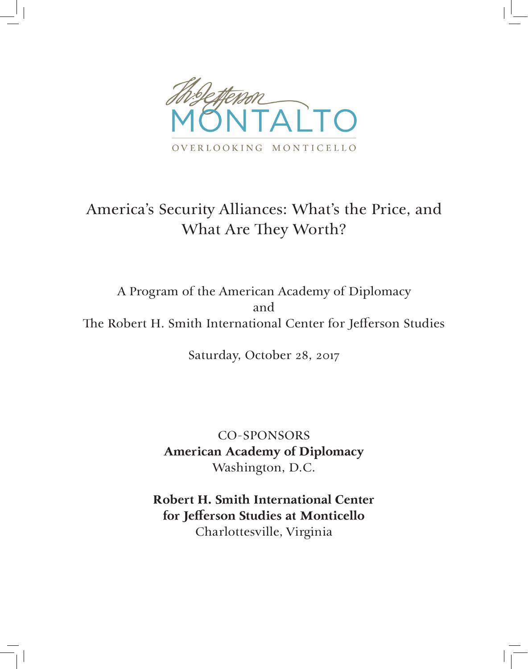

### America's Security Alliances: What's the Price, and What Are They Worth?

A Program of the American Academy of Diplomacy and The Robert H. Smith International Center for Jefferson Studies

Saturday, October 28, 2017

CO-SPONSORS **American Academy of Diplomacy** Washington, D.C.

**Robert H. Smith International Center for Jefferson Studies at Monticello** Charlottesville, Virginia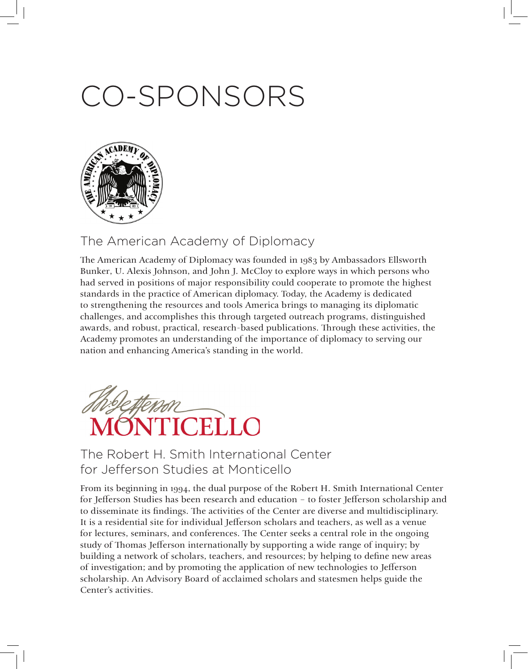# CO-SPONSORS



#### The American Academy of Diplomacy

The American Academy of Diplomacy was founded in 1983 by Ambassadors Ellsworth Bunker, U. Alexis Johnson, and John J. McCloy to explore ways in which persons who had served in positions of major responsibility could cooperate to promote the highest standards in the practice of American diplomacy. Today, the Academy is dedicated to strengthening the resources and tools America brings to managing its diplomatic challenges, and accomplishes this through targeted outreach programs, distinguished awards, and robust, practical, research-based publications. Through these activities, the Academy promotes an understanding of the importance of diplomacy to serving our nation and enhancing America's standing in the world.



#### The Robert H. Smith International Center for Jefferson Studies at Monticello

From its beginning in 1994, the dual purpose of the Robert H. Smith International Center for Jefferson Studies has been research and education – to foster Jefferson scholarship and to disseminate its findings. The activities of the Center are diverse and multidisciplinary. It is a residential site for individual Jefferson scholars and teachers, as well as a venue for lectures, seminars, and conferences. The Center seeks a central role in the ongoing study of Thomas Jefferson internationally by supporting a wide range of inquiry; by building a network of scholars, teachers, and resources; by helping to define new areas of investigation; and by promoting the application of new technologies to Jefferson scholarship. An Advisory Board of acclaimed scholars and statesmen helps guide the Center's activities.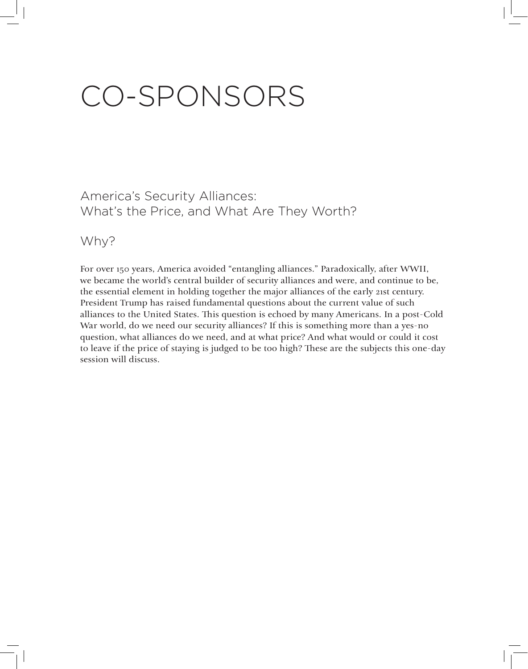# CO-SPONSORS

America's Security Alliances: What's the Price, and What Are They Worth?

#### Why?

For over 150 years, America avoided "entangling alliances." Paradoxically, after WWII, we became the world's central builder of security alliances and were, and continue to be, the essential element in holding together the major alliances of the early 21st century. President Trump has raised fundamental questions about the current value of such alliances to the United States. This question is echoed by many Americans. In a post-Cold War world, do we need our security alliances? If this is something more than a yes-no question, what alliances do we need, and at what price? And what would or could it cost to leave if the price of staying is judged to be too high? These are the subjects this one-day session will discuss.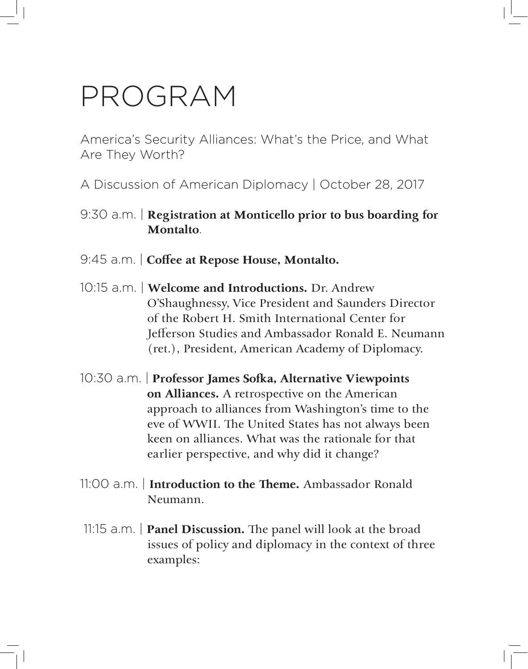### PROGRAM

America's Security Alliances: What's the Price, and What Are They Worth?

A Discussion of American Diplomacy | October 28, 2017

- 9:30 a.m. | **Registration at Monticello prior to bus boarding for Montalto**.
- 9:45 a.m. | **Coffee at Repose House, Montalto.**
- 10:15 a.m. | **Welcome and Introductions.** Dr. Andrew O'Shaughnessy, Vice President and Saunders Director of the Robert H. Smith International Center for Jefferson Studies and Ambassador Ronald E. Neumann (ret.), President, American Academy of Diplomacy.
- 10:30 a.m. | **Professor James Sofka, Alternative Viewpoints on Alliances.** A retrospective on the American approach to alliances from Washington's time to the eve of WWII. The United States has not always been keen on alliances. What was the rationale for that earlier perspective, and why did it change?
- 11:00 a.m. | **Introduction to the Theme.** Ambassador Ronald Neumann.
- 11:15 a.m. | **Panel Discussion.** The panel will look at the broad issues of policy and diplomacy in the context of three examples: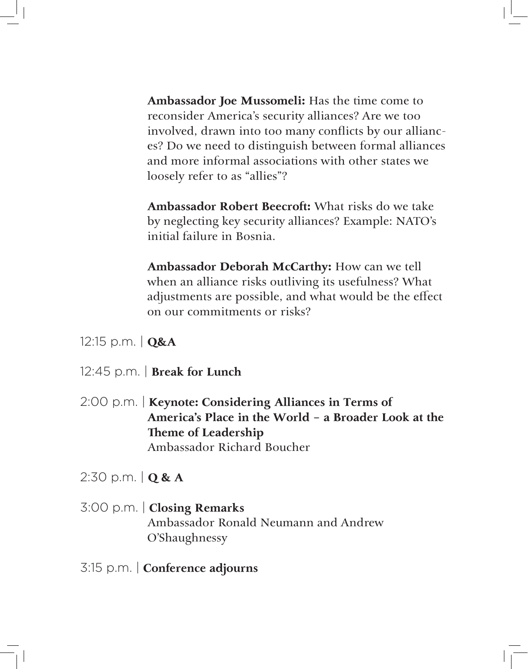**Ambassador Joe Mussomeli:** Has the time come to reconsider America's security alliances? Are we too involved, drawn into too many conflicts by our alliances? Do we need to distinguish between formal alliances and more informal associations with other states we loosely refer to as "allies"?

**Ambassador Robert Beecroft:** What risks do we take by neglecting key security alliances? Example: NATO's initial failure in Bosnia.

**Ambassador Deborah McCarthy:** How can we tell when an alliance risks outliving its usefulness? What adjustments are possible, and what would be the effect on our commitments or risks?

12:15 p.m. | **Q&A**

- 12:45 p.m. | **Break for Lunch**
- 2:00 p.m. | **Keynote: Considering Alliances in Terms of America's Place in the World – a Broader Look at the Theme of Leadership** Ambassador Richard Boucher

2:30 p.m. | **Q & A**

- 3:00 p.m. | **Closing Remarks** Ambassador Ronald Neumann and Andrew O'Shaughnessy
- 3:15 p.m. | **Conference adjourns**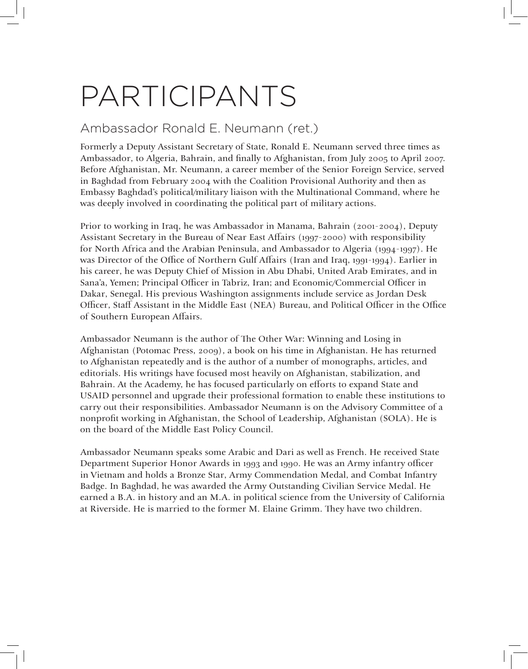# PARTICIPANTS

#### Ambassador Ronald E. Neumann (ret.)

Formerly a Deputy Assistant Secretary of State, Ronald E. Neumann served three times as Ambassador, to Algeria, Bahrain, and finally to Afghanistan, from July 2005 to April 2007. Before Afghanistan, Mr. Neumann, a career member of the Senior Foreign Service, served in Baghdad from February 2004 with the Coalition Provisional Authority and then as Embassy Baghdad's political/military liaison with the Multinational Command, where he was deeply involved in coordinating the political part of military actions.

Prior to working in Iraq, he was Ambassador in Manama, Bahrain (2001-2004), Deputy Assistant Secretary in the Bureau of Near East Affairs (1997-2000) with responsibility for North Africa and the Arabian Peninsula, and Ambassador to Algeria (1994-1997). He was Director of the Office of Northern Gulf Affairs (Iran and Iraq, 1991-1994). Earlier in his career, he was Deputy Chief of Mission in Abu Dhabi, United Arab Emirates, and in Sana'a, Yemen; Principal Officer in Tabriz, Iran; and Economic/Commercial Officer in Dakar, Senegal. His previous Washington assignments include service as Jordan Desk Officer, Staff Assistant in the Middle East (NEA) Bureau, and Political Officer in the Office of Southern European Affairs.

Ambassador Neumann is the author of The Other War: Winning and Losing in Afghanistan (Potomac Press, 2009), a book on his time in Afghanistan. He has returned to Afghanistan repeatedly and is the author of a number of monographs, articles, and editorials. His writings have focused most heavily on Afghanistan, stabilization, and Bahrain. At the Academy, he has focused particularly on efforts to expand State and USAID personnel and upgrade their professional formation to enable these institutions to carry out their responsibilities. Ambassador Neumann is on the Advisory Committee of a nonprofit working in Afghanistan, the School of Leadership, Afghanistan (SOLA). He is on the board of the Middle East Policy Council.

Ambassador Neumann speaks some Arabic and Dari as well as French. He received State Department Superior Honor Awards in 1993 and 1990. He was an Army infantry officer in Vietnam and holds a Bronze Star, Army Commendation Medal, and Combat Infantry Badge. In Baghdad, he was awarded the Army Outstanding Civilian Service Medal. He earned a B.A. in history and an M.A. in political science from the University of California at Riverside. He is married to the former M. Elaine Grimm. They have two children.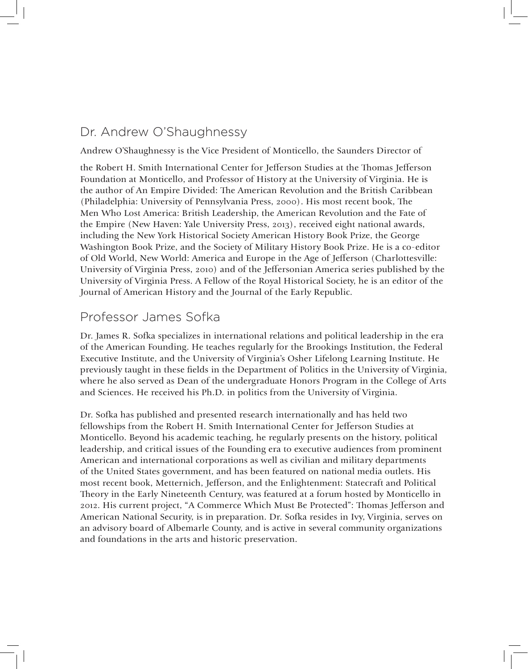#### Dr. Andrew O'Shaughnessy

Andrew O'Shaughnessy is the Vice President of Monticello, the Saunders Director of

the Robert H. Smith International Center for Jefferson Studies at the Thomas Jefferson Foundation at Monticello, and Professor of History at the University of Virginia. He is the author of An Empire Divided: The American Revolution and the British Caribbean (Philadelphia: University of Pennsylvania Press, 2000). His most recent book, The Men Who Lost America: British Leadership, the American Revolution and the Fate of the Empire (New Haven: Yale University Press, 2013), received eight national awards, including the New York Historical Society American History Book Prize, the George Washington Book Prize, and the Society of Military History Book Prize. He is a co-editor of Old World, New World: America and Europe in the Age of Jefferson (Charlottesville: University of Virginia Press, 2010) and of the Jeffersonian America series published by the University of Virginia Press. A Fellow of the Royal Historical Society, he is an editor of the Journal of American History and the Journal of the Early Republic.

#### Professor James Sofka

Dr. James R. Sofka specializes in international relations and political leadership in the era of the American Founding. He teaches regularly for the Brookings Institution, the Federal Executive Institute, and the University of Virginia's Osher Lifelong Learning Institute. He previously taught in these fields in the Department of Politics in the University of Virginia, where he also served as Dean of the undergraduate Honors Program in the College of Arts and Sciences. He received his Ph.D. in politics from the University of Virginia.

Dr. Sofka has published and presented research internationally and has held two fellowships from the Robert H. Smith International Center for Jefferson Studies at Monticello. Beyond his academic teaching, he regularly presents on the history, political leadership, and critical issues of the Founding era to executive audiences from prominent American and international corporations as well as civilian and military departments of the United States government, and has been featured on national media outlets. His most recent book, Metternich, Jefferson, and the Enlightenment: Statecraft and Political Theory in the Early Nineteenth Century, was featured at a forum hosted by Monticello in 2012. His current project, "A Commerce Which Must Be Protected": Thomas Jefferson and American National Security, is in preparation. Dr. Sofka resides in Ivy, Virginia, serves on an advisory board of Albemarle County, and is active in several community organizations and foundations in the arts and historic preservation.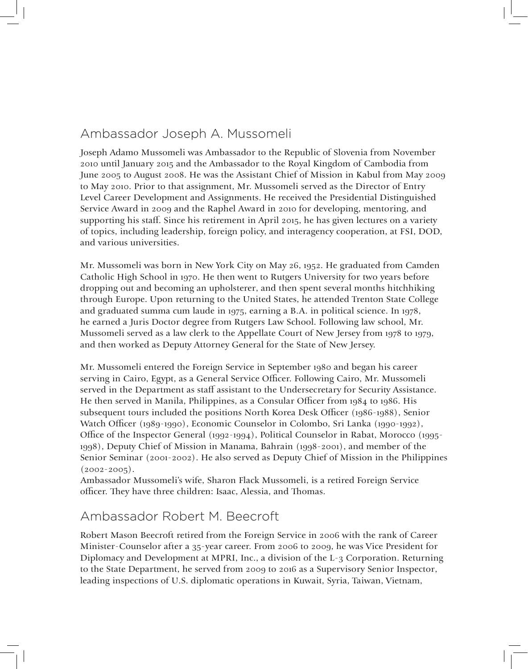#### Ambassador Joseph A. Mussomeli

Joseph Adamo Mussomeli was Ambassador to the Republic of Slovenia from November 2010 until January 2015 and the Ambassador to the Royal Kingdom of Cambodia from June 2005 to August 2008. He was the Assistant Chief of Mission in Kabul from May 2009 to May 2010. Prior to that assignment, Mr. Mussomeli served as the Director of Entry Level Career Development and Assignments. He received the Presidential Distinguished Service Award in 2009 and the Raphel Award in 2010 for developing, mentoring, and supporting his staff. Since his retirement in April 2015, he has given lectures on a variety of topics, including leadership, foreign policy, and interagency cooperation, at FSI, DOD, and various universities.

Mr. Mussomeli was born in New York City on May 26, 1952. He graduated from Camden Catholic High School in 1970. He then went to Rutgers University for two years before dropping out and becoming an upholsterer, and then spent several months hitchhiking through Europe. Upon returning to the United States, he attended Trenton State College and graduated summa cum laude in 1975, earning a B.A. in political science. In 1978, he earned a Juris Doctor degree from Rutgers Law School. Following law school, Mr. Mussomeli served as a law clerk to the Appellate Court of New Jersey from 1978 to 1979, and then worked as Deputy Attorney General for the State of New Jersey.

Mr. Mussomeli entered the Foreign Service in September 1980 and began his career serving in Cairo, Egypt, as a General Service Officer. Following Cairo, Mr. Mussomeli served in the Department as staff assistant to the Undersecretary for Security Assistance. He then served in Manila, Philippines, as a Consular Officer from 1984 to 1986. His subsequent tours included the positions North Korea Desk Officer (1986-1988), Senior Watch Officer (1989-1990), Economic Counselor in Colombo, Sri Lanka (1990-1992), Office of the Inspector General (1992-1994), Political Counselor in Rabat, Morocco (1995- 1998), Deputy Chief of Mission in Manama, Bahrain (1998-2001), and member of the Senior Seminar (2001-2002). He also served as Deputy Chief of Mission in the Philippines  $(2002 - 2005)$ .

Ambassador Mussomeli's wife, Sharon Flack Mussomeli, is a retired Foreign Service officer. They have three children: Isaac, Alessia, and Thomas.

#### Ambassador Robert M. Beecroft

Robert Mason Beecroft retired from the Foreign Service in 2006 with the rank of Career Minister-Counselor after a 35-year career. From 2006 to 2009, he was Vice President for Diplomacy and Development at MPRI, Inc., a division of the L-3 Corporation. Returning to the State Department, he served from 2009 to 2016 as a Supervisory Senior Inspector, leading inspections of U.S. diplomatic operations in Kuwait, Syria, Taiwan, Vietnam,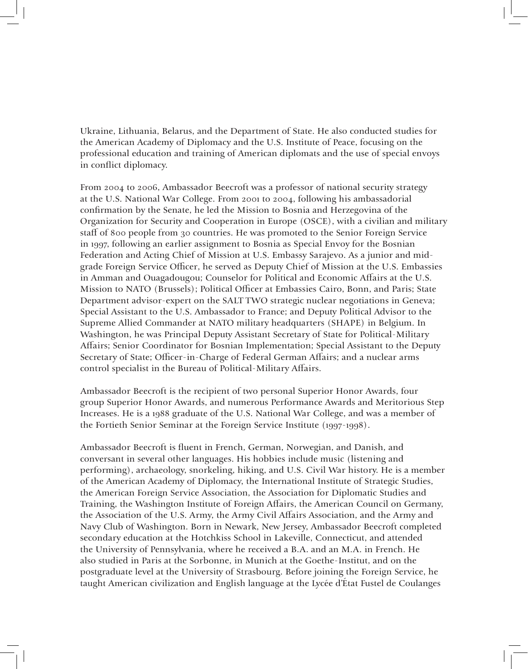Ukraine, Lithuania, Belarus, and the Department of State. He also conducted studies for the American Academy of Diplomacy and the U.S. Institute of Peace, focusing on the professional education and training of American diplomats and the use of special envoys in conflict diplomacy.

From 2004 to 2006, Ambassador Beecroft was a professor of national security strategy at the U.S. National War College. From 2001 to 2004, following his ambassadorial confirmation by the Senate, he led the Mission to Bosnia and Herzegovina of the Organization for Security and Cooperation in Europe (OSCE), with a civilian and military staff of 800 people from 30 countries. He was promoted to the Senior Foreign Service in 1997, following an earlier assignment to Bosnia as Special Envoy for the Bosnian Federation and Acting Chief of Mission at U.S. Embassy Sarajevo. As a junior and midgrade Foreign Service Officer, he served as Deputy Chief of Mission at the U.S. Embassies in Amman and Ouagadougou; Counselor for Political and Economic Affairs at the U.S. Mission to NATO (Brussels); Political Officer at Embassies Cairo, Bonn, and Paris; State Department advisor-expert on the SALT TWO strategic nuclear negotiations in Geneva; Special Assistant to the U.S. Ambassador to France; and Deputy Political Advisor to the Supreme Allied Commander at NATO military headquarters (SHAPE) in Belgium. In Washington, he was Principal Deputy Assistant Secretary of State for Political-Military Affairs; Senior Coordinator for Bosnian Implementation; Special Assistant to the Deputy Secretary of State; Officer-in-Charge of Federal German Affairs; and a nuclear arms control specialist in the Bureau of Political-Military Affairs.

Ambassador Beecroft is the recipient of two personal Superior Honor Awards, four group Superior Honor Awards, and numerous Performance Awards and Meritorious Step Increases. He is a 1988 graduate of the U.S. National War College, and was a member of the Fortieth Senior Seminar at the Foreign Service Institute (1997-1998).

Ambassador Beecroft is fluent in French, German, Norwegian, and Danish, and conversant in several other languages. His hobbies include music (listening and performing), archaeology, snorkeling, hiking, and U.S. Civil War history. He is a member of the American Academy of Diplomacy, the International Institute of Strategic Studies, the American Foreign Service Association, the Association for Diplomatic Studies and Training, the Washington Institute of Foreign Affairs, the American Council on Germany, the Association of the U.S. Army, the Army Civil Affairs Association, and the Army and Navy Club of Washington. Born in Newark, New Jersey, Ambassador Beecroft completed secondary education at the Hotchkiss School in Lakeville, Connecticut, and attended the University of Pennsylvania, where he received a B.A. and an M.A. in French. He also studied in Paris at the Sorbonne, in Munich at the Goethe-Institut, and on the postgraduate level at the University of Strasbourg. Before joining the Foreign Service, he taught American civilization and English language at the Lycée d'État Fustel de Coulanges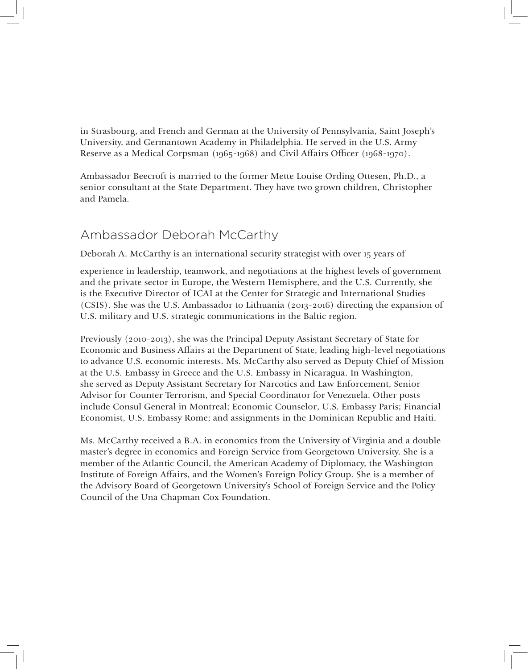in Strasbourg, and French and German at the University of Pennsylvania, Saint Joseph's University, and Germantown Academy in Philadelphia. He served in the U.S. Army Reserve as a Medical Corpsman (1965-1968) and Civil Affairs Officer (1968-1970).

Ambassador Beecroft is married to the former Mette Louise Ording Ottesen, Ph.D., a senior consultant at the State Department. They have two grown children, Christopher and Pamela.

#### Ambassador Deborah McCarthy

Deborah A. McCarthy is an international security strategist with over 15 years of

experience in leadership, teamwork, and negotiations at the highest levels of government and the private sector in Europe, the Western Hemisphere, and the U.S. Currently, she is the Executive Director of ICAI at the Center for Strategic and International Studies (CSIS). She was the U.S. Ambassador to Lithuania (2013-2016) directing the expansion of U.S. military and U.S. strategic communications in the Baltic region.

Previously (2010-2013), she was the Principal Deputy Assistant Secretary of State for Economic and Business Affairs at the Department of State, leading high-level negotiations to advance U.S. economic interests. Ms. McCarthy also served as Deputy Chief of Mission at the U.S. Embassy in Greece and the U.S. Embassy in Nicaragua. In Washington, she served as Deputy Assistant Secretary for Narcotics and Law Enforcement, Senior Advisor for Counter Terrorism, and Special Coordinator for Venezuela. Other posts include Consul General in Montreal; Economic Counselor, U.S. Embassy Paris; Financial Economist, U.S. Embassy Rome; and assignments in the Dominican Republic and Haiti.

Ms. McCarthy received a B.A. in economics from the University of Virginia and a double master's degree in economics and Foreign Service from Georgetown University. She is a member of the Atlantic Council, the American Academy of Diplomacy, the Washington Institute of Foreign Affairs, and the Women's Foreign Policy Group. She is a member of the Advisory Board of Georgetown University's School of Foreign Service and the Policy Council of the Una Chapman Cox Foundation.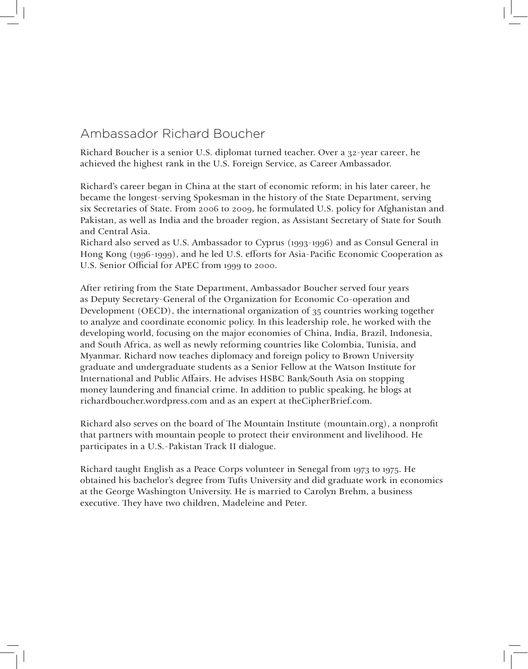#### Ambassador Richard Boucher

Richard Boucher is a senior U.S. diplomat turned teacher. Over a 32-year career, he achieved the highest rank in the U.S. Foreign Service, as Career Ambassador.

Richard's career began in China at the start of economic reform; in his later career, he became the longest-serving Spokesman in the history of the State Department, serving six Secretaries of State. From 2006 to 2009, he formulated U.S. policy for Afghanistan and Pakistan, as well as India and the broader region, as Assistant Secretary of State for South and Central Asia.

Richard also served as U.S. Ambassador to Cyprus (1993-1996) and as Consul General in Hong Kong (1996-1999), and he led U.S. efforts for Asia-Pacific Economic Cooperation as U.S. Senior Official for APEC from 1999 to 2000.

After retiring from the State Department, Ambassador Boucher served four years as Deputy Secretary-General of the Organization for Economic Co-operation and Development (OECD), the international organization of 35 countries working together to analyze and coordinate economic policy. In this leadership role, he worked with the developing world, focusing on the major economies of China, India, Brazil, Indonesia, and South Africa, as well as newly reforming countries like Colombia, Tunisia, and Myanmar. Richard now teaches diplomacy and foreign policy to Brown University graduate and undergraduate students as a Senior Fellow at the Watson Institute for International and Public Affairs. He advises HSBC Bank/South Asia on stopping money laundering and financial crime. In addition to public speaking, he blogs at richardboucher.wordpress.com and as an expert at theCipherBrief.com.

Richard also serves on the board of The Mountain Institute (mountain.org), a nonprofit that partners with mountain people to protect their environment and livelihood. He participates in a U.S.-Pakistan Track II dialogue.

Richard taught English as a Peace Corps volunteer in Senegal from 1973 to 1975. He obtained his bachelor's degree from Tufts University and did graduate work in economics at the George Washington University. He is married to Carolyn Brehm, a business executive. They have two children, Madeleine and Peter.